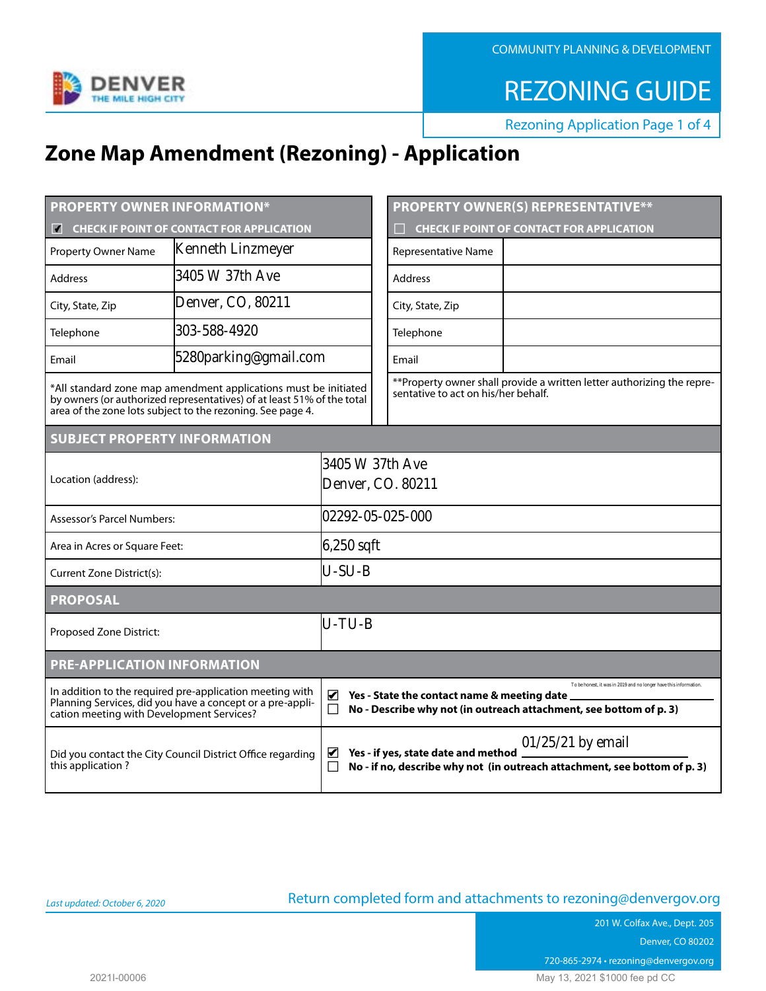COMMUNITY PLANNING & DEVELOPMENT



REZONING GUIDE

Rezoning Application Page 1 of 4

# **Zone Map Amendment (Rezoning) - Application**

| <b>PROPERTY OWNER INFORMATION*</b>                                                                                                                                                                      |                                                            |                                      |  | <b>PROPERTY OWNER(S) REPRESENTATIVE**</b>                                                                                                                                              |  |  |  |  |
|---------------------------------------------------------------------------------------------------------------------------------------------------------------------------------------------------------|------------------------------------------------------------|--------------------------------------|--|----------------------------------------------------------------------------------------------------------------------------------------------------------------------------------------|--|--|--|--|
| <b>CHECK IF POINT OF CONTACT FOR APPLICATION</b>                                                                                                                                                        |                                                            |                                      |  | <b>CHECK IF POINT OF CONTACT FOR APPLICATION</b>                                                                                                                                       |  |  |  |  |
| <b>Property Owner Name</b>                                                                                                                                                                              | <b>Kenneth Linzmeyer</b>                                   |                                      |  | Representative Name                                                                                                                                                                    |  |  |  |  |
| <b>Address</b>                                                                                                                                                                                          | 3405 W 37th Ave                                            |                                      |  | <b>Address</b>                                                                                                                                                                         |  |  |  |  |
| City, State, Zip                                                                                                                                                                                        | Denver, CO, 80211                                          |                                      |  | City, State, Zip                                                                                                                                                                       |  |  |  |  |
| Telephone                                                                                                                                                                                               | 303-588-4920                                               |                                      |  | Telephone                                                                                                                                                                              |  |  |  |  |
| Email                                                                                                                                                                                                   | 5280parking@gmail.com                                      |                                      |  | Email                                                                                                                                                                                  |  |  |  |  |
| *All standard zone map amendment applications must be initiated<br>by owners (or authorized representatives) of at least 51% of the total<br>area of the zone lots subject to the rezoning. See page 4. |                                                            |                                      |  | ** Property owner shall provide a written letter authorizing the repre-<br>sentative to act on his/her behalf.                                                                         |  |  |  |  |
| <b>SUBJECT PROPERTY INFORMATION</b>                                                                                                                                                                     |                                                            |                                      |  |                                                                                                                                                                                        |  |  |  |  |
| Location (address):                                                                                                                                                                                     |                                                            | 3405 W 37th Ave<br>Denver, CO. 80211 |  |                                                                                                                                                                                        |  |  |  |  |
| <b>Assessor's Parcel Numbers:</b>                                                                                                                                                                       |                                                            | 102292-05-025-000                    |  |                                                                                                                                                                                        |  |  |  |  |
| Area in Acres or Square Feet:                                                                                                                                                                           |                                                            | 6,250 sqft                           |  |                                                                                                                                                                                        |  |  |  |  |
| Current Zone District(s):                                                                                                                                                                               |                                                            | $U-SU-B$                             |  |                                                                                                                                                                                        |  |  |  |  |
| <b>PROPOSAL</b>                                                                                                                                                                                         |                                                            |                                      |  |                                                                                                                                                                                        |  |  |  |  |
| Proposed Zone District:                                                                                                                                                                                 |                                                            | lu-tu-b                              |  |                                                                                                                                                                                        |  |  |  |  |
| <b>PRE-APPLICATION INFORMATION</b>                                                                                                                                                                      |                                                            |                                      |  |                                                                                                                                                                                        |  |  |  |  |
| In addition to the required pre-application meeting with<br>Planning Services, did you have a concept or a pre-appli-<br>cation meeting with Development Services?                                      |                                                            | ☑                                    |  | To be honest, it was in 2019 and no longer have this information.<br>Yes - State the contact name & meeting date<br>No - Describe why not (in outreach attachment, see bottom of p. 3) |  |  |  |  |
| this application?                                                                                                                                                                                       | Did you contact the City Council District Office regarding | $\blacktriangledown$<br>П            |  | $01/25/21$ by email<br>Yes - if yes, state date and method<br>No - if no, describe why not (in outreach attachment, see bottom of p. 3)                                                |  |  |  |  |

## Return completed form and attachments to [rezoning@denvergov.org](mailto:rezoning%40denvergov.org?subject=)

201 W. Colfax Ave., Dept. 205 Denver, CO 80202 720-865-2974 • rezoning@denvergov.org 2021I-00006 May 13, 2021 \$1000 fee pd CC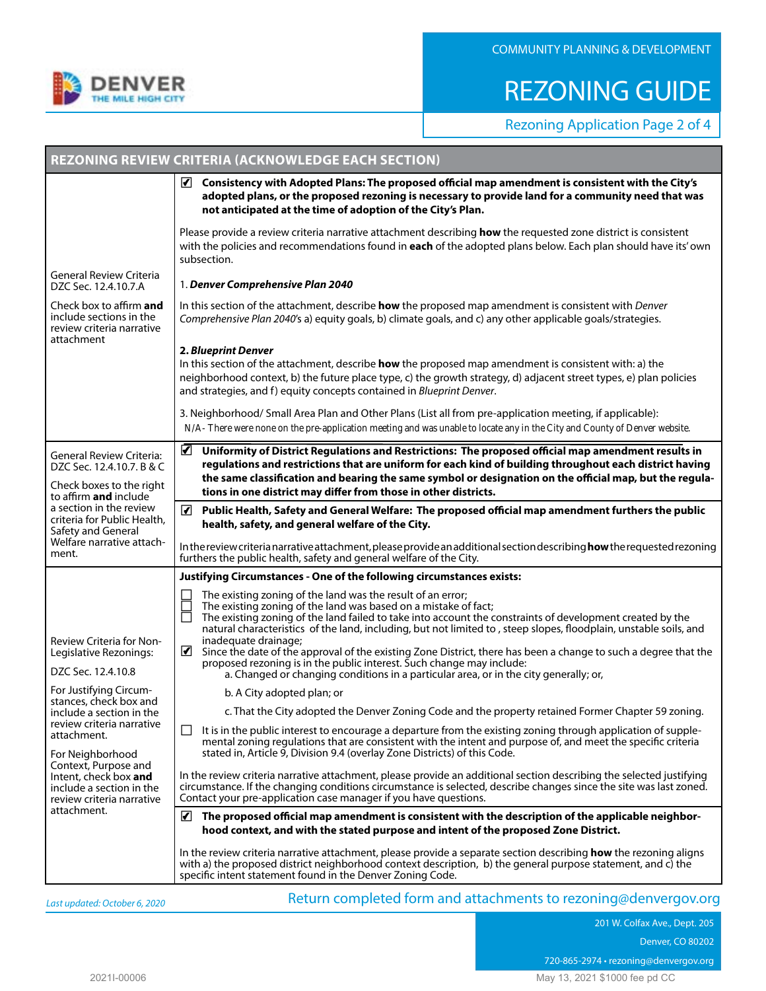

# REZONING GUIDE

Rezoning Application Page 2 of 4

| √ Consistency with Adopted Plans: The proposed official map amendment is consistent with the City's<br>adopted plans, or the proposed rezoning is necessary to provide land for a community need that was<br>not anticipated at the time of adoption of the City's Plan.<br>Please provide a review criteria narrative attachment describing how the requested zone district is consistent<br>with the policies and recommendations found in each of the adopted plans below. Each plan should have its' own<br>subsection.                                                                                                                                                                                                                                 |                                                                                                                    |  |  |  |  |
|-------------------------------------------------------------------------------------------------------------------------------------------------------------------------------------------------------------------------------------------------------------------------------------------------------------------------------------------------------------------------------------------------------------------------------------------------------------------------------------------------------------------------------------------------------------------------------------------------------------------------------------------------------------------------------------------------------------------------------------------------------------|--------------------------------------------------------------------------------------------------------------------|--|--|--|--|
|                                                                                                                                                                                                                                                                                                                                                                                                                                                                                                                                                                                                                                                                                                                                                             |                                                                                                                    |  |  |  |  |
|                                                                                                                                                                                                                                                                                                                                                                                                                                                                                                                                                                                                                                                                                                                                                             |                                                                                                                    |  |  |  |  |
| General Review Criteria<br>1. Denver Comprehensive Plan 2040<br>DZC Sec. 12.4.10.7.A                                                                                                                                                                                                                                                                                                                                                                                                                                                                                                                                                                                                                                                                        |                                                                                                                    |  |  |  |  |
| Check box to affirm and<br>In this section of the attachment, describe how the proposed map amendment is consistent with Denver<br>include sections in the<br>Comprehensive Plan 2040's a) equity goals, b) climate goals, and c) any other applicable goals/strategies.<br>review criteria narrative<br>attachment                                                                                                                                                                                                                                                                                                                                                                                                                                         |                                                                                                                    |  |  |  |  |
| 2. Blueprint Denver<br>In this section of the attachment, describe how the proposed map amendment is consistent with: a) the<br>and strategies, and f) equity concepts contained in Blueprint Denver.                                                                                                                                                                                                                                                                                                                                                                                                                                                                                                                                                       | neighborhood context, b) the future place type, c) the growth strategy, d) adjacent street types, e) plan policies |  |  |  |  |
| 3. Neighborhood/ Small Area Plan and Other Plans (List all from pre-application meeting, if applicable):<br>N/A-There were none on the pre-application meeting and was unable to locate any in the City and County of Denver website.                                                                                                                                                                                                                                                                                                                                                                                                                                                                                                                       |                                                                                                                    |  |  |  |  |
| ☑<br>Uniformity of District Regulations and Restrictions: The proposed official map amendment results in<br><b>General Review Criteria:</b><br>regulations and restrictions that are uniform for each kind of building throughout each district having<br>DZC Sec. 12.4.10.7. B & C<br>the same classification and bearing the same symbol or designation on the official map, but the regula-<br>Check boxes to the right<br>tions in one district may differ from those in other districts.<br>to affirm and include                                                                                                                                                                                                                                      |                                                                                                                    |  |  |  |  |
| a section in the review<br>√ Public Health, Safety and General Welfare: The proposed official map amendment furthers the public<br>criteria for Public Health,<br>health, safety, and general welfare of the City.                                                                                                                                                                                                                                                                                                                                                                                                                                                                                                                                          |                                                                                                                    |  |  |  |  |
| Safety and General<br>Welfare narrative attach-<br>In the review criteria narrative attachment, please provide an additional section describing how the requested rezoning<br>ment.<br>furthers the public health, safety and general welfare of the City.                                                                                                                                                                                                                                                                                                                                                                                                                                                                                                  |                                                                                                                    |  |  |  |  |
| Justifying Circumstances - One of the following circumstances exists:                                                                                                                                                                                                                                                                                                                                                                                                                                                                                                                                                                                                                                                                                       |                                                                                                                    |  |  |  |  |
| The existing zoning of the land was the result of an error;<br>The existing zoning of the land was based on a mistake of fact;<br>The existing zoning of the land failed to take into account the constraints of development created by the<br>natural characteristics of the land, including, but not limited to, steep slopes, floodplain, unstable soils, and<br>inadequate drainage;<br>Review Criteria for Non-<br>■ Since the date of the approval of the existing Zone District, there has been a change to such a degree that the<br>Legislative Rezonings:<br>proposed rezoning is in the public interest. Such change may include:<br>DZC Sec. 12.4.10.8<br>a. Changed or changing conditions in a particular area, or in the city generally; or, |                                                                                                                    |  |  |  |  |
| For Justifying Circum-<br>b. A City adopted plan; or                                                                                                                                                                                                                                                                                                                                                                                                                                                                                                                                                                                                                                                                                                        |                                                                                                                    |  |  |  |  |
| stances, check box and<br>c. That the City adopted the Denver Zoning Code and the property retained Former Chapter 59 zoning.<br>include a section in the                                                                                                                                                                                                                                                                                                                                                                                                                                                                                                                                                                                                   |                                                                                                                    |  |  |  |  |
| review criteria narrative<br>It is in the public interest to encourage a departure from the existing zoning through application of supple-<br>attachment.<br>mental zoning regulations that are consistent with the intent and purpose of, and meet the specific criteria                                                                                                                                                                                                                                                                                                                                                                                                                                                                                   |                                                                                                                    |  |  |  |  |
| stated in, Article 9, Division 9.4 (overlay Zone Districts) of this Code.<br>For Neighborhood<br>Context, Purpose and<br>In the review criteria narrative attachment, please provide an additional section describing the selected justifying<br>Intent, check box and<br>circumstance. If the changing conditions circumstance is selected, describe changes since the site was last zoned.<br>include a section in the<br>Contact your pre-application case manager if you have questions.<br>review criteria narrative                                                                                                                                                                                                                                   |                                                                                                                    |  |  |  |  |
| attachment.<br>hood context, and with the stated purpose and intent of the proposed Zone District.                                                                                                                                                                                                                                                                                                                                                                                                                                                                                                                                                                                                                                                          | $\mathbf{F}$ The proposed official map amendment is consistent with the description of the applicable neighbor-    |  |  |  |  |
| In the review criteria narrative attachment, please provide a separate section describing how the rezoning aligns<br>with a) the proposed district neighborhood context description, b) the general purpose statement, and c) the<br>specific intent statement found in the Denver Zoning Code.                                                                                                                                                                                                                                                                                                                                                                                                                                                             |                                                                                                                    |  |  |  |  |

*Last updated: October 6, 2020*

Return completed form and attachments to [rezoning@denvergov.org](mailto:rezoning%40denvergov.org?subject=)

201 W. Colfax Ave., Dept. 205 Denver, CO 80202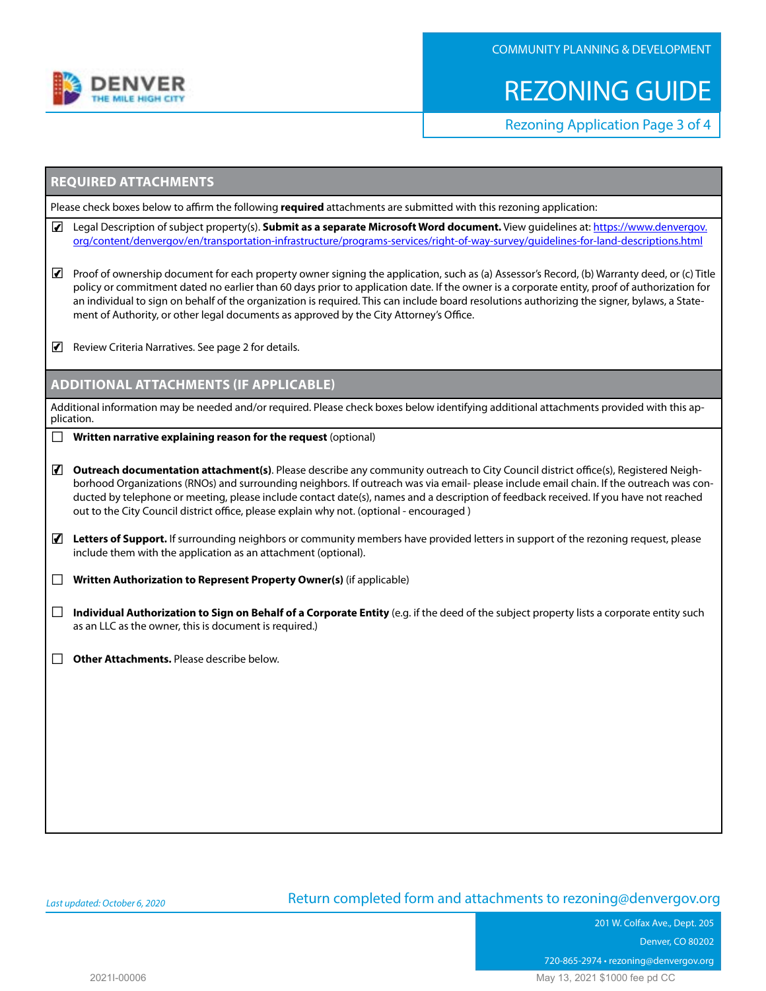

# REZONING GUIDE

Rezoning Application Page 3 of 4

### **REQUIRED ATTACHMENTS**

Please check boxes below to affirm the following **required** attachments are submitted with this rezoning application:

- □ Legal Description of subject property(s). **Submit as a separate Microsoft Word document.** View guidelines at: [https://www.denvergov.](https://www.denvergov.org/content/denvergov/en/transportation-infrastructure/programs-services/right-of-way-survey/guidelines-for-land-descriptions.html)  [org/content/denvergov/en/transportation-infrastructure/programs-services/right-of-way-survey/guidelines-for-land-descriptions.html](https://www.denvergov.org/content/denvergov/en/transportation-infrastructure/programs-services/right-of-way-survey/guidelines-for-land-descriptions.html)
- Proof of ownership document for each property owner signing the application, such as (a) Assessor's Record, (b) Warranty deed, or (c) Title policy or commitment dated no earlier than 60 days prior to application date. If the owner is a corporate entity, proof of authorization for an individual to sign on behalf of the organization is required. This can include board resolutions authorizing the signer, bylaws, a Statement of Authority, or other legal documents as approved by the City Attorney's Office.
- $\blacksquare$  Review Criteria Narratives. See page 2 for details.

### **ADDITIONAL ATTACHMENTS (IF APPLICABLE)**

Additional information may be needed and/or required. Please check boxes below identifying additional attachments provided with this application.

- □ **Written narrative explaining reason for the request** (optional)
- Outreach documentation attachment(s). Please describe any community outreach to City Council district office(s), Registered Neighborhood Organizations (RNOs) and surrounding neighbors. If outreach was via email- please include email chain. If the outreach was conducted by telephone or meeting, please include contact date(s), names and a description of feedback received. If you have not reached out to the City Council district office, please explain why not. (optional - encouraged)
- □ **Letters of Support.** If surrounding neighbors or community members have provided letters in support of the rezoning request, please include them with the application as an attachment (optional).
- □ **Written Authorization to Represent Property Owner(s)** (if applicable)
- □ **Individual Authorization to Sign on Behalf of a Corporate Entity** (e.g. if the deed of the subject property lists a corporate entity such as an LLC as the owner, this is document is required.)
- □ Other Attachments. Please describe below.

#### *Last updated: October 6, 2020*

### Return completed form and attachments to [rezoning@denvergov.org](mailto:rezoning%40denvergov.org?subject=)

201 W. Colfax Ave., Dept. 205 Denver, CO 80202 720-865-2974 • rezoning@denvergov.org 2021I-00006 May 13, 2021 \$1000 fee pd CC